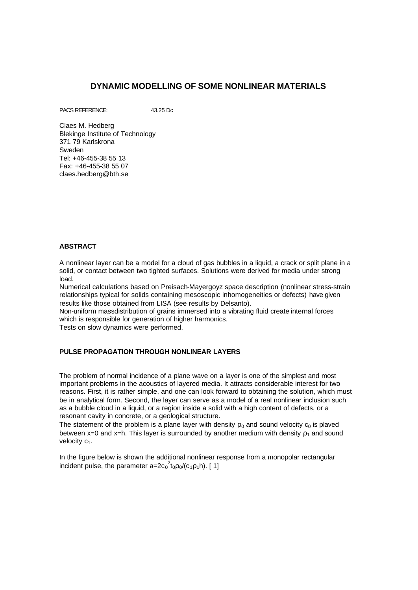# **DYNAMIC MODELLING OF SOME NONLINEAR MATERIALS**

PACS REFERENCE: 43.25 Dc

Claes M. Hedberg Blekinge Institute of Technology 371 79 Karlskrona Sweden Tel: +46-455-38 55 13 Fax: +46-455-38 55 07 claes.hedberg@bth.se

### **ABSTRACT**

A nonlinear layer can be a model for a cloud of gas bubbles in a liquid, a crack or split plane in a solid, or contact between two tighted surfaces. Solutions were derived for media under strong load.

Numerical calculations based on Preisach-Mayergoyz space description (nonlinear stress-strain relationships typical for solids containing mesoscopic inhomogeneities or defects) have given results like those obtained from LISA (see results by Delsanto).

Non-uniform massdistribution of grains immersed into a vibrating fluid create internal forces which is responsible for generation of higher harmonics.

Tests on slow dynamics were performed.

### **PULSE PROPAGATION THROUGH NONLINEAR LAYERS**

The problem of normal incidence of a plane wave on a layer is one of the simplest and most important problems in the acoustics of layered media. It attracts considerable interest for two reasons. First, it is rather simple, and one can look forward to obtaining the solution, which must be in analytical form. Second, the layer can serve as a model of a real nonlinear inclusion such as a bubble cloud in a liquid, or a region inside a solid with a high content of defects, or a resonant cavity in concrete, or a geological structure.

The statement of the problem is a plane layer with density  $\rho_0$  and sound velocity  $c_0$  is plaved between x=0 and x=h. This layer is surrounded by another medium with density  $\rho_1$  and sound velocity c<sub>1</sub>.

In the figure below is shown the additional nonlinear response from a monopolar rectangular incident pulse, the parameter a= $2c_0^2t_0p_0/(c_1p_1h)$ . [1]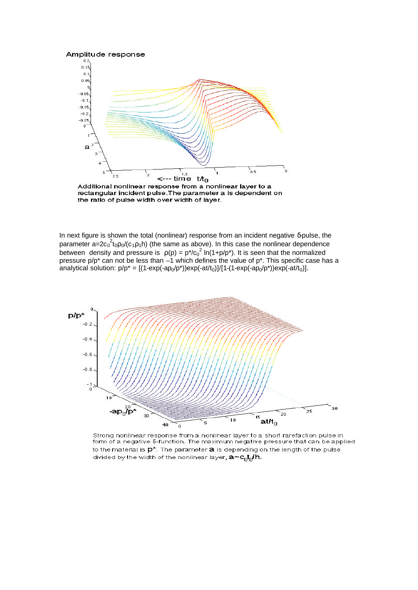

Additional nonlinear response from a nonlinear layer to a rectangular incident pulse. The parameter a is dependent on the ratio of pulse width over width of layer.

In next figure is shown the total (nonlinear) response from an incident negative δ-pulse, the parameter a= $2c_0^2$ t<sub>0</sub>p<sub>0</sub>/(c<sub>1</sub>p<sub>1</sub>h) (the same as above). In this case the nonlinear dependence between density and pressure is  $p(p) = p^*/{c_0}^2 \ln(1+p/p^*)$ . It is seen that the normalized pressure p/p\* can not be less than  $-1$  which defines the value of p\*. This specific case has a analytical solution:  $p/p^* = [(1-\exp(-ap_0/p^*))\exp(-at/t_0)]/[1-(1-\exp(-ap_0/p^*))\exp(-at/t_0)]$ .



Strong nonlinear response from a nonlinear layer to a short rarefaction pulse in form of a negative 8-function. The maximum negative pressure that can be applied to the material is  $p^{\star}$ . The parameter  $a$  is depending on the length of the pulse divided by the width of the nonlinear layer, a~cntn/h.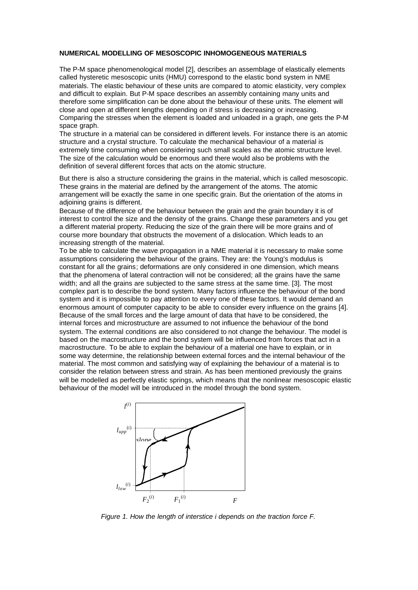#### **NUMERICAL MODELLING OF MESOSCOPIC INHOMOGENEOUS MATERIALS**

The P-M space phenomenological model [2], describes an assemblage of elastically elements called hysteretic mesoscopic units (HMU) correspond to the elastic bond system in NME materials. The elastic behaviour of these units are compared to atomic elasticity, very complex and difficult to explain. But P-M space describes an assembly containing many units and therefore some simplification can be done about the behaviour of these units. The element will close and open at different lengths depending on if stress is decreasing or increasing. Comparing the stresses when the element is loaded and unloaded in a graph, one gets the P-M space graph.

The structure in a material can be considered in different levels. For instance there is an atomic structure and a crystal structure. To calculate the mechanical behaviour of a material is extremely time consuming when considering such small scales as the atomic structure level. The size of the calculation would be enormous and there would also be problems with the definition of several different forces that acts on the atomic structure.

But there is also a structure considering the grains in the material, which is called mesoscopic. These grains in the material are defined by the arrangement of the atoms. The atomic arrangement will be exactly the same in one specific grain. But the orientation of the atoms in adjoining grains is different.

Because of the difference of the behaviour between the grain and the grain boundary it is of interest to control the size and the density of the grains. Change these parameters and you get a different material property. Reducing the size of the grain there will be more grains and of course more boundary that obstructs the movement of a dislocation. Which leads to an increasing strength of the material.

To be able to calculate the wave propagation in a NME material it is necessary to make some assumptions considering the behaviour of the grains. They are: the Young's modulus is constant for all the grains; deformations are only considered in one dimension, which means that the phenomena of lateral contraction will not be considered; all the grains have the same width; and all the grains are subjected to the same stress at the same time. [3]. The most complex part is to describe the bond system. Many factors influence the behaviour of the bond system and it is impossible to pay attention to every one of these factors. It would demand an enormous amount of computer capacity to be able to consider every influence on the grains [4]. Because of the small forces and the large amount of data that have to be considered, the internal forces and microstructure are assumed to not influence the behaviour of the bond system. The external conditions are also considered to not change the behaviour. The model is based on the macrostructure and the bond system will be influenced from forces that act in a macrostructure. To be able to explain the behaviour of a material one have to explain, or in some way determine, the relationship between external forces and the internal behaviour of the material. The most common and satisfying way of explaining the behaviour of a material is to consider the relation between stress and strain. As has been mentioned previously the grains will be modelled as perfectly elastic springs, which means that the nonlinear mesoscopic elastic behaviour of the model will be introduced in the model through the bond system.



*Figure 1. How the length of interstice i depends on the traction force F.*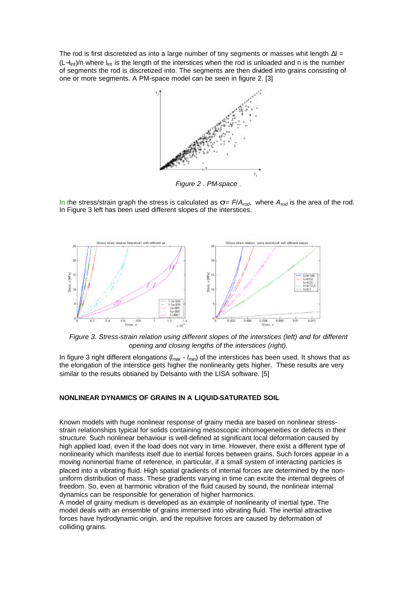The rod is first discretized as into a large number of tiny segments or masses whit length  $\Delta I =$  $(L-l<sub>int</sub>)/n$  where  $l<sub>int</sub>$  is the length of the interstices when the rod is unloaded and n is the number of segments the rod is discretized into. The segments are then divided into grains consisting of one or more segments. A PM-space model can be seen in figure 2. [3]



In the stress/strain graph the stress is calculated as  $s = F/A_{rod}$ , where  $A_{rod}$  is the area of the rod. In Figure 3 left has been used different slopes of the interstices.



*Figure 3. Stress-strain relation using different slopes of the interstices (left) and for different opening and closing lengths of the interstices (right).*

In figure 3 right different elongations (*lmax* - *lmin*) of the interstices has been used. It shows that as the elongation of the interstice gets higher the nonlinearity gets higher. These results are very similar to the results obtianed by Delsanto with the LISA software. [5]

### **NONLINEAR DYNAMICS OF GRAINS IN A LIQUID-SATURATED SOIL**

Known models with huge nonlinear response of grainy media are based on nonlinear stressstrain relationships typical for solids containing mesoscopic inhomogeneities or defects in their structure. Such nonlinear behaviour is well-defined at significant local deformation caused by high applied load, even if the load does not vary in time. However, there exist a different type of nonlinearity which manifests itself due to inertial forces between grains. Such forces appear in a moving noninertial frame of reference, in particular, if a small system of interacting particles is placed into a vibrating fluid. High spatial gradients of internal forces are determined by the nonuniform distribution of mass. These gradients varying in time can excite the internal degrees of freedom. So, even at harmonic vibration of the fluid caused by sound, the nonlinear internal dynamics can be responsible for generation of higher harmonics.

A model of grainy medium is developed as an example of nonlinearity of inertial type. The model deals with an ensemble of grains immersed into vibrating fluid. The inertial attractive forces have hydrodynamic origin, and the repulsive forces are caused by deformation of colliding grains.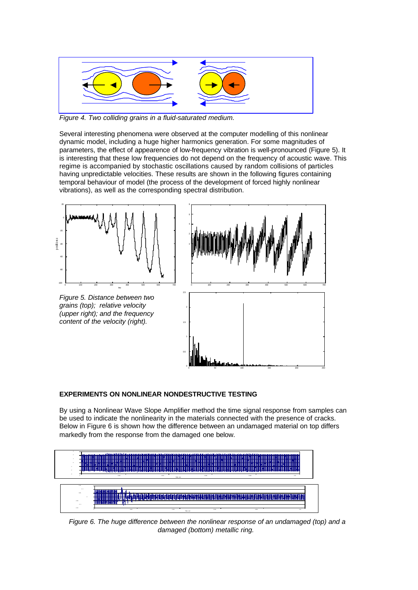

*Figure 4. Two colliding grains in a fluid-saturated medium.*

Several interesting phenomena were observed at the computer modelling of this nonlinear dynamic model, including a huge higher harmonics generation. For some magnitudes of parameters, the effect of appearence of low-frequency vibration is well-pronounced (Figure 5). It is interesting that these low frequencies do not depend on the frequency of acoustic wave. This regime is accompanied by stochastic oscillations caused by random collisions of particles having unpredictable velocities. These results are shown in the following figures containing temporal behaviour of model (the process of the development of forced highly nonlinear vibrations), as well as the corresponding spectral distribution.







0 50 100 150 200 250

## **EXPERIMENTS ON NONLINEAR NONDESTRUCTIVE TESTING**

By using a Nonlinear Wave Slope Amplifier method the time signal response from samples can be used to indicate the nonlinearity in the materials connected with the presence of cracks. Below in Figure 6 is shown how the difference between an undamaged material on top differs markedly from the response from the damaged one below.



0

*Figure 6. The huge difference between the nonlinear response of an undamaged (top) and a damaged (bottom) metallic ring.*